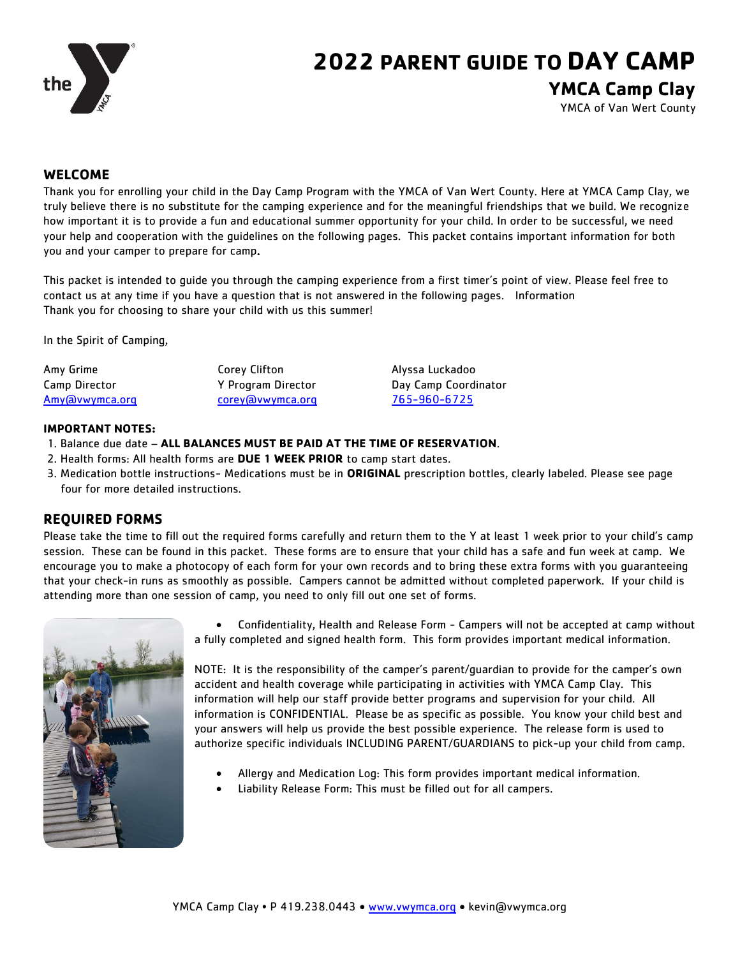

# **2022 PARENT GUIDE TO DAY CAMP YMCA Camp Clay**

YMCA of Van Wert County

#### **WELCOME**

Thank you for enrolling your child in the Day Camp Program with the YMCA of Van Wert County. Here at YMCA Camp Clay, we truly believe there is no substitute for the camping experience and for the meaningful friendships that we build. We recognize how important it is to provide a fun and educational summer opportunity for your child. In order to be successful, we need your help and cooperation with the guidelines on the following pages. This packet contains important information for both you and your camper to prepare for camp.

This packet is intended to guide you through the camping experience from a first timer's point of view. Please feel free to contact us at any time if you have a question that is not answered in the following pages. Information Thank you for choosing to share your child with us this summer!

In the Spirit of Camping,

| Amy Grime      | Corey Clifton      | Alyssa Luckadoo      |
|----------------|--------------------|----------------------|
| Camp Director  | Y Program Director | Day Camp Coordinator |
| Amy@vwymca.org | corey@vwymca.org   | 765-960-6725         |

#### **IMPORTANT NOTES:**

- 1. Balance due date **ALL BALANCES MUST BE PAID AT THE TIME OF RESERVATION**.
- 2. Health forms: All [health forms](https://campmani.ipower.com/scripts/HealthRelease/) are **DUE 1 WEEK PRIOR** to camp start dates.
- 3. Medication bottle instructions- Medications must be in **ORIGINAL** prescription bottles, clearly labeled. Please see page four for more detailed instructions.

#### **REQUIRED FORMS**

Please take the time to fill out the required forms carefully and return them to the Y at least 1 week prior to your child's camp session. These can be found in this packet. These forms are to ensure that your child has a safe and fun week at camp. We encourage you to make a photocopy of each form for your own records and to bring these extra forms with you guaranteeing that your check-in runs as smoothly as possible. Campers cannot be admitted without completed paperwork. If your child is attending more than one session of camp, you need to only fill out one set of forms.



 Confidentiality, Health and Release Form - Campers will not be accepted at camp without a fully completed and signed health form. This form provides important medical information.

NOTE: It is the responsibility of the camper's parent/guardian to provide for the camper's own accident and health coverage while participating in activities with YMCA Camp Clay. This information will help our staff provide better programs and supervision for your child. All information is CONFIDENTIAL. Please be as specific as possible. You know your child best and your answers will help us provide the best possible experience. The release form is used to authorize specific individuals INCLUDING PARENT/GUARDIANS to pick-up your child from camp.

- Allergy and Medication Log: This form provides important medical information.
- Liability Release Form: This must be filled out for all campers.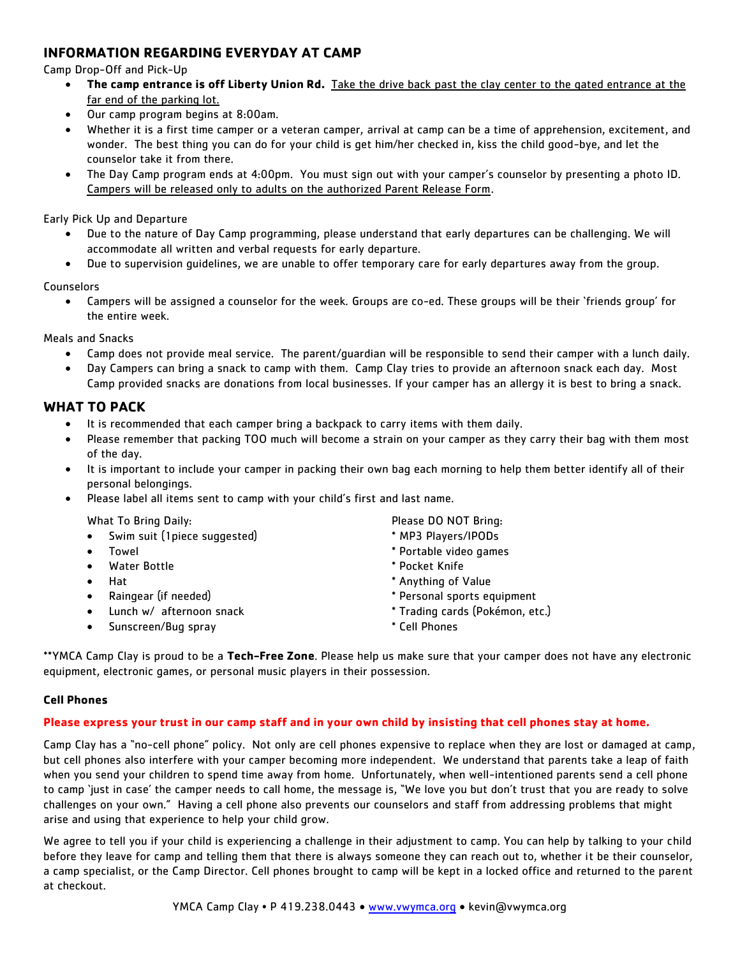## **INFORMATION REGARDING EVERYDAY AT CAMP**

Camp Drop-Off and Pick-Up

- **The camp entrance is off Liberty Union Rd.** Take the drive back past the clay center to the gated entrance at the far end of the parking lot.
- Our camp program begins at 8:00am.
- Whether it is a first time camper or a veteran camper, arrival at camp can be a time of apprehension, excitement, and wonder. The best thing you can do for your child is get him/her checked in, kiss the child good-bye, and let the counselor take it from there.
- The Day Camp program ends at 4:00pm. You must sign out with your camper's counselor by presenting a photo ID. Campers will be released only to adults on the authorized Parent Release Form.

#### Early Pick Up and Departure

- Due to the nature of Day Camp programming, please understand that early departures can be challenging. We will accommodate all written and verbal requests for early departure.
- Due to supervision guidelines, we are unable to offer temporary care for early departures away from the group.

#### **Counselors**

 Campers will be assigned a counselor for the week. Groups are co-ed. These groups will be their 'friends group' for the entire week.

Meals and Snacks

- Camp does not provide meal service. The parent/guardian will be responsible to send their camper with a lunch daily.
- Day Campers can bring a snack to camp with them. Camp Clay tries to provide an afternoon snack each day. Most Camp provided snacks are donations from local businesses. If your camper has an allergy it is best to bring a snack.

#### **WHAT TO PACK**

- It is recommended that each camper bring a backpack to carry items with them daily.
- Please remember that packing TOO much will become a strain on your camper as they carry their bag with them most of the day.
- It is important to include your camper in packing their own bag each morning to help them better identify all of their personal belongings.
- Please label all items sent to camp with your child's first and last name.

What To Bring Daily: The Contract of the Please DO NOT Bring:

- Swim suit (1piece suggested) \* MP3 Players/IPODs
- 
- Water Bottle **Water Bottle Water Bottle**
- 
- 
- 
- Sunscreen/Bug spray the state of the state of the Sunset of the Sunset of the Sunset of the Sunset of the Sunset of the Sunset of the Sunset of the Sunset of the Sunset of the Sunset of the Sunset of the Sunset of the Su

- 
- Towel **The Contract of Contract Contract Contract Contract Contract Contract Contract Contract Contract Contract Contract Contract Contract Contract Contract Contract Contract Contract Contract Contract Contract Contract C** 
	-
- Hat \* Anything of Value
- Raingear (if needed) **the substitute of the set of the set of the set of the set of the set of the set of the s**
- Lunch w/ afternoon snack  $\bullet$  \* Trading cards (Pokémon, etc.)
	-

\*\*YMCA Camp Clay is proud to be a **Tech-Free Zone**. Please help us make sure that your camper does not have any electronic equipment, electronic games, or personal music players in their possession.

#### **Cell Phones**

#### **Please express your trust in our camp staff and in your own child by insisting that cell phones stay at home.**

Camp Clay has a "no-cell phone" policy. Not only are cell phones expensive to replace when they are lost or damaged at camp, but cell phones also interfere with your camper becoming more independent. We understand that parents take a leap of faith when you send your children to spend time away from home. Unfortunately, when well-intentioned parents send a cell phone to camp 'just in case' the camper needs to call home, the message is, "We love you but don't trust that you are ready to solve challenges on your own." Having a cell phone also prevents our counselors and staff from addressing problems that might arise and using that experience to help your child grow.

We agree to tell you if your child is experiencing a challenge in their adjustment to camp. You can help by talking to your child before they leave for camp and telling them that there is always someone they can reach out to, whether it be their counselor, a camp specialist, or the Camp Director. Cell phones brought to camp will be kept in a locked office and returned to the parent at checkout.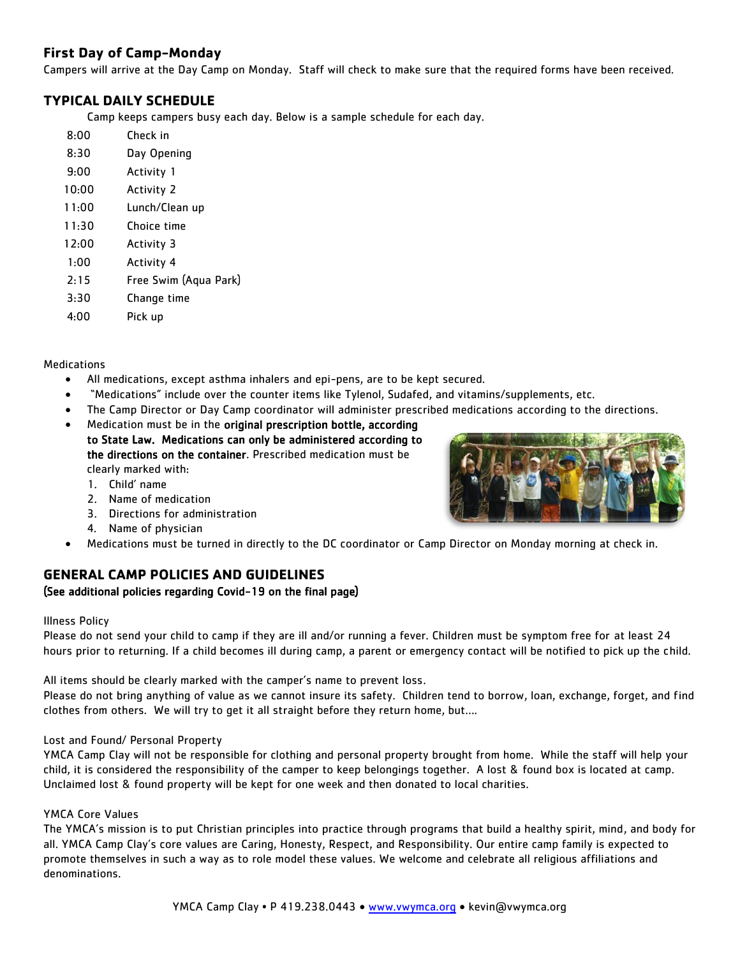## **First Day of Camp-Monday**

Campers will arrive at the Day Camp on Monday. Staff will check to make sure that the required forms have been received.

### **TYPICAL DAILY SCHEDULE**

Camp keeps campers busy each day. Below is a sample schedule for each day.

| 8:00  | Check in              |
|-------|-----------------------|
| 8:30  | Day Opening           |
| 9:00  | Activity 1            |
| 10:00 | Activity 2            |
| 11:00 | Lunch/Clean up        |
| 11:30 | Choice time           |
| 12:00 | Activity 3            |
| 1:00  | <b>Activity 4</b>     |
| 2:15  | Free Swim (Aqua Park) |
| 3:30  | Change time           |
| 4:00  | Pick up               |

#### Medications

- All medications, except asthma inhalers and epi-pens, are to be kept secured.
- "Medications" include over the counter items like Tylenol, Sudafed, and vitamins/supplements, etc.
- The Camp Director or Day Camp coordinator will administer prescribed medications according to the directions.
- Medication must be in the original prescription bottle, according to State Law. Medications can only be administered according to the directions on the container. Prescribed medication must be clearly marked with:
	- 1. Child' name
	- 2. Name of medication
	- 3. Directions for administration
	- 4. Name of physician
- Medications must be turned in directly to the DC coordinator or Camp Director on Monday morning at check in.

## **GENERAL CAMP POLICIES AND GUIDELINES**

### (See additional policies regarding Covid-19 on the final page)

#### Illness Policy

Please do not send your child to camp if they are ill and/or running a fever. Children must be symptom free for at least 24 hours prior to returning. If a child becomes ill during camp, a parent or emergency contact will be notified to pick up the child.

All items should be clearly marked with the camper's name to prevent loss.

Please do not bring anything of value as we cannot insure its safety. Children tend to borrow, loan, exchange, forget, and find clothes from others. We will try to get it all straight before they return home, but….

#### Lost and Found/ Personal Property

YMCA Camp Clay will not be responsible for clothing and personal property brought from home. While the staff will help your child, it is considered the responsibility of the camper to keep belongings together. A lost & found box is located at camp. Unclaimed lost & found property will be kept for one week and then donated to local charities.

#### YMCA Core Values

The YMCA's mission is to put Christian principles into practice through programs that build a healthy spirit, mind, and body for all. YMCA Camp Clay's core values are Caring, Honesty, Respect, and Responsibility. Our entire camp family is expected to promote themselves in such a way as to role model these values. We welcome and celebrate all religious affiliations and denominations.

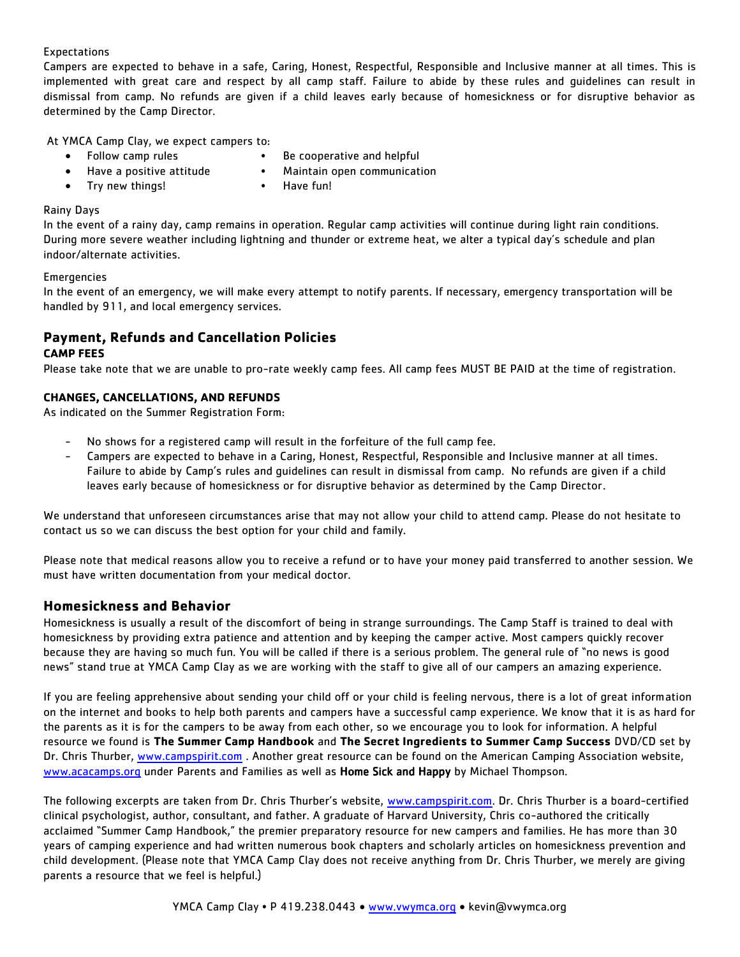#### Expectations

Campers are expected to behave in a safe, Caring, Honest, Respectful, Responsible and Inclusive manner at all times. This is implemented with great care and respect by all camp staff. Failure to abide by these rules and guidelines can result in dismissal from camp. No refunds are given if a child leaves early because of homesickness or for disruptive behavior as determined by the Camp Director.

At YMCA Camp Clay, we expect campers to:

- 
- Follow camp rules Be cooperative and helpful
- Have a positive attitude Maintain open communication
	-
- Try new things! Have fun!
	-

#### Rainy Days

In the event of a rainy day, camp remains in operation. Regular camp activities will continue during light rain conditions. During more severe weather including lightning and thunder or extreme heat, we alter a typical day's schedule and plan indoor/alternate activities.

#### **Emergencies**

In the event of an emergency, we will make every attempt to notify parents. If necessary, emergency transportation will be handled by 911, and local emergency services.

#### **Payment, Refunds and Cancellation Policies CAMP FEES**

Please take note that we are unable to pro-rate weekly camp fees. All camp fees MUST BE PAID at the time of registration.

#### **CHANGES, CANCELLATIONS, AND REFUNDS**

As indicated on the Summer Registration Form:

- No shows for a registered camp will result in the forfeiture of the full camp fee.
- Campers are expected to behave in a Caring, Honest, Respectful, Responsible and Inclusive manner at all times. Failure to abide by Camp's rules and guidelines can result in dismissal from camp. No refunds are given if a child leaves early because of homesickness or for disruptive behavior as determined by the Camp Director.

We understand that unforeseen circumstances arise that may not allow your child to attend camp. Please do not hesitate to contact us so we can discuss the best option for your child and family.

Please note that medical reasons allow you to receive a refund or to have your money paid transferred to another session. We must have written documentation from your medical doctor.

#### **Homesickness and Behavior**

Homesickness is usually a result of the discomfort of being in strange surroundings. The Camp Staff is trained to deal with homesickness by providing extra patience and attention and by keeping the camper active. Most campers quickly recover because they are having so much fun. You will be called if there is a serious problem. The general rule of "no news is good news" stand true at YMCA Camp Clay as we are working with the staff to give all of our campers an amazing experience.

If you are feeling apprehensive about sending your child off or your child is feeling nervous, there is a lot of great information on the internet and books to help both parents and campers have a successful camp experience. We know that it is as hard for the parents as it is for the campers to be away from each other, so we encourage you to look for information. A helpful resource we found is **The Summer Camp Handbook** and **The Secret Ingredients to Summer Camp Success** DVD/CD set by Dr. Chris Thurber, [www.campspirit.com](http://www.campspirit.com/) . Another great resource can be found on the American Camping Association website, [www.acacamps.org](http://www.acacamps.org/) under Parents and Families as well as Home Sick and Happy by Michael Thompson.

The following excerpts are taken from Dr. Chris Thurber's website, [www.campspirit.com.](http://www.campspirit.com/) Dr. Chris Thurber is a board-certified clinical psychologist, author, consultant, and father. A graduate of Harvard University, Chris co-authored the critically acclaimed "Summer Camp Handbook," the premier preparatory resource for new campers and families. He has more than 30 years of camping experience and had written numerous book chapters and scholarly articles on homesickness prevention and child development. (Please note that YMCA Camp Clay does not receive anything from Dr. Chris Thurber, we merely are giving parents a resource that we feel is helpful.)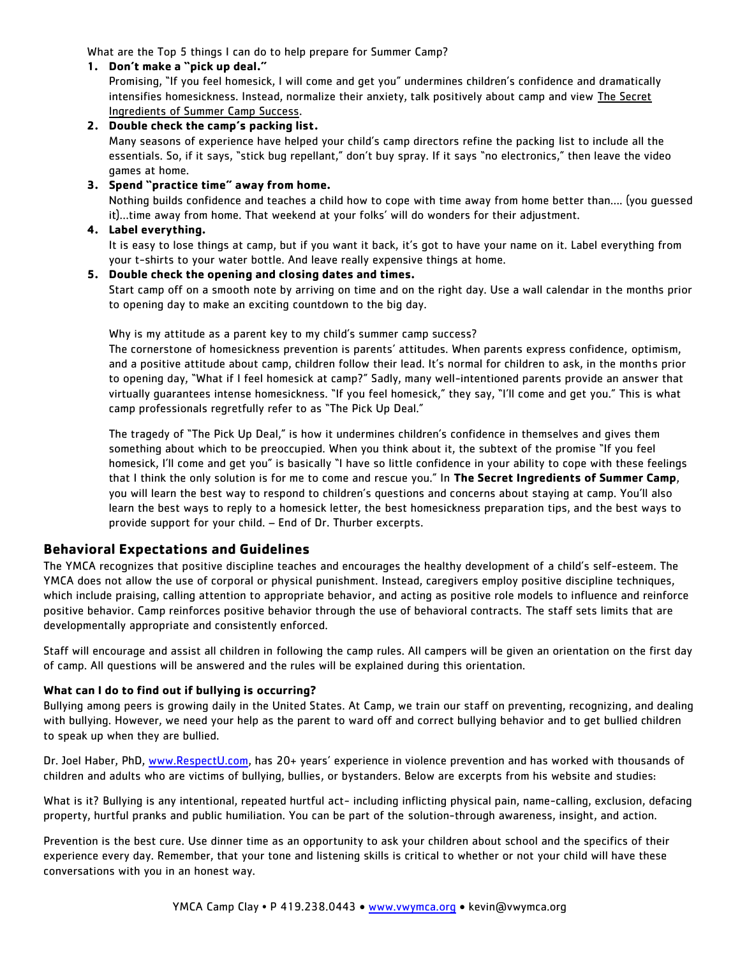What are the Top 5 things I can do to help prepare for Summer Camp?

#### **1. Don't make a "pick up deal."**

Promising, "If you feel homesick, I will come and get you" undermines children's confidence and dramatically intensifies homesickness. Instead, normalize their anxiety, talk positively about camp and view The Secret Ingredients of Summer Camp Success.

#### **2. Double check the camp's packing list.**

Many seasons of experience have helped your child's camp directors refine the packing list to include all the essentials. So, if it says, "stick bug repellant," don't buy spray. If it says "no electronics," then leave the video games at home.

#### **3. Spend "practice time" away from home.**

Nothing builds confidence and teaches a child how to cope with time away from home better than…. (you guessed it)…time away from home. That weekend at your folks' will do wonders for their adjustment.

#### **4. Label everything.**

It is easy to lose things at camp, but if you want it back, it's got to have your name on it. Label everything from your t-shirts to your water bottle. And leave really expensive things at home.

#### **5. Double check the opening and closing dates and times.**

Start camp off on a smooth note by arriving on time and on the right day. Use a wall calendar in the months prior to opening day to make an exciting countdown to the big day.

Why is my attitude as a parent key to my child's summer camp success?

The cornerstone of homesickness prevention is parents' attitudes. When parents express confidence, optimism, and a positive attitude about camp, children follow their lead. It's normal for children to ask, in the months prior to opening day, "What if I feel homesick at camp?" Sadly, many well-intentioned parents provide an answer that virtually guarantees intense homesickness. "If you feel homesick," they say, "I'll come and get you." This is what camp professionals regretfully refer to as "The Pick Up Deal."

The tragedy of "The Pick Up Deal," is how it undermines children's confidence in themselves and gives them something about which to be preoccupied. When you think about it, the subtext of the promise "If you feel homesick, I'll come and get you" is basically "I have so little confidence in your ability to cope with these feelings that I think the only solution is for me to come and rescue you." In **The Secret Ingredients of Summer Camp**, you will learn the best way to respond to children's questions and concerns about staying at camp. You'll also learn the best ways to reply to a homesick letter, the best homesickness preparation tips, and the best ways to provide support for your child. – End of Dr. Thurber excerpts.

#### **Behavioral Expectations and Guidelines**

The YMCA recognizes that positive discipline teaches and encourages the healthy development of a child's self-esteem. The YMCA does not allow the use of corporal or physical punishment. Instead, caregivers employ positive discipline techniques, which include praising, calling attention to appropriate behavior, and acting as positive role models to influence and reinforce positive behavior. Camp reinforces positive behavior through the use of behavioral contracts. The staff sets limits that are developmentally appropriate and consistently enforced.

Staff will encourage and assist all children in following the camp rules. All campers will be given an orientation on the first day of camp. All questions will be answered and the rules will be explained during this orientation.

#### **What can I do to find out if bullying is occurring?**

Bullying among peers is growing daily in the United States. At Camp, we train our staff on preventing, recognizing, and dealing with bullying. However, we need your help as the parent to ward off and correct bullying behavior and to get bullied children to speak up when they are bullied.

Dr. Joel Haber, PhD, [www.RespectU.com](http://www.respectu.com/), has 20+ years' experience in violence prevention and has worked with thousands of children and adults who are victims of bullying, bullies, or bystanders. Below are excerpts from his website and studies:

What is it? Bullying is any intentional, repeated hurtful act- including inflicting physical pain, name-calling, exclusion, defacing property, hurtful pranks and public humiliation. You can be part of the solution-through awareness, insight, and action.

Prevention is the best cure. Use dinner time as an opportunity to ask your children about school and the specifics of their experience every day. Remember, that your tone and listening skills is critical to whether or not your child will have these conversations with you in an honest way.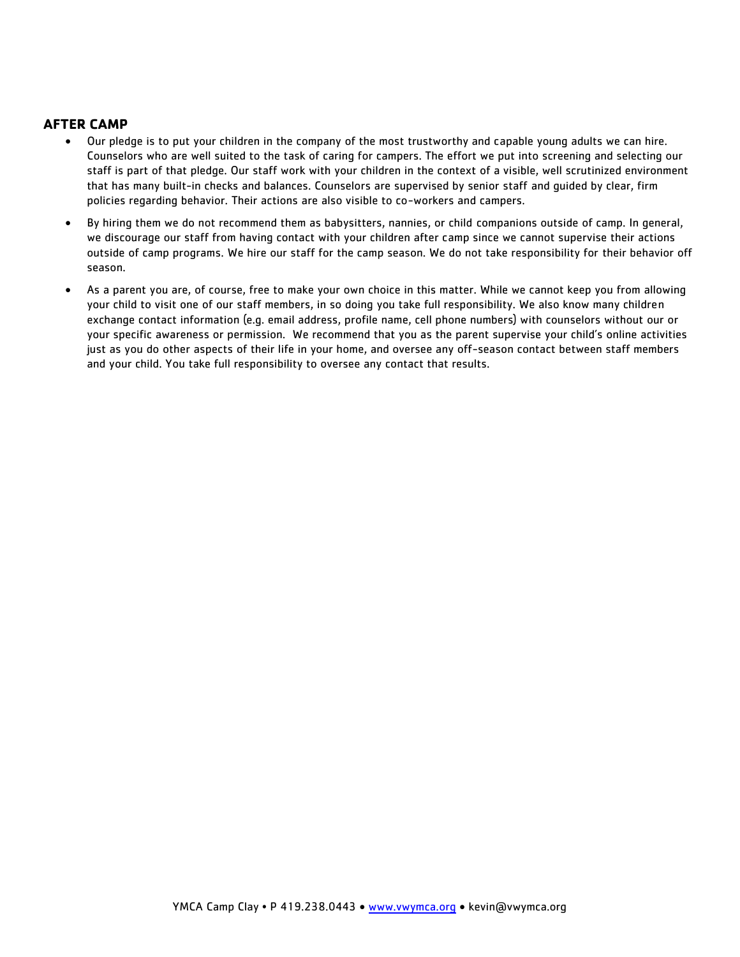#### **AFTER CAMP**

- Our pledge is to put your children in the company of the most trustworthy and capable young adults we can hire. Counselors who are well suited to the task of caring for campers. The effort we put into screening and selecting our staff is part of that pledge. Our staff work with your children in the context of a visible, well scrutinized environment that has many built-in checks and balances. Counselors are supervised by senior staff and guided by clear, firm policies regarding behavior. Their actions are also visible to co-workers and campers.
- By hiring them we do not recommend them as babysitters, nannies, or child companions outside of camp. In general, we discourage our staff from having contact with your children after camp since we cannot supervise their actions outside of camp programs. We hire our staff for the camp season. We do not take responsibility for their behavior off season.
- As a parent you are, of course, free to make your own choice in this matter. While we cannot keep you from allowing your child to visit one of our staff members, in so doing you take full responsibility. We also know many children exchange contact information (e.g. email address, profile name, cell phone numbers) with counselors without our or your specific awareness or permission. We recommend that you as the parent supervise your child's online activities just as you do other aspects of their life in your home, and oversee any off-season contact between staff members and your child. You take full responsibility to oversee any contact that results.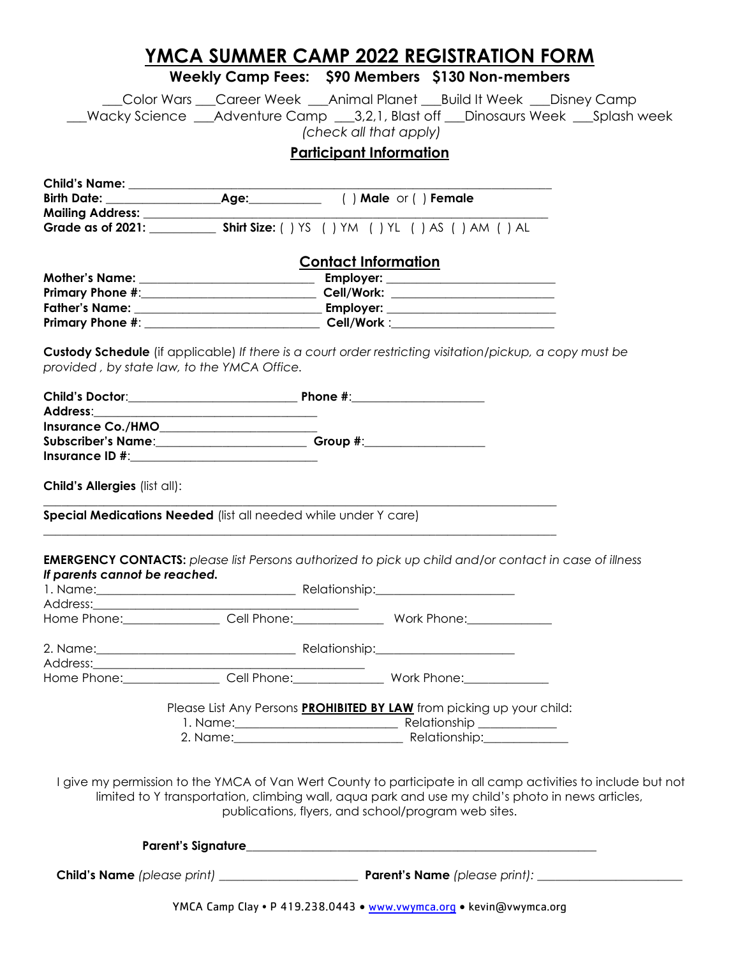## **YMCA SUMMER CAMP 2022 REGISTRATION FORM**

## **Weekly Camp Fees: \$90 Members \$130 Non-members**

\_\_\_Color Wars \_\_\_Career Week \_\_\_Animal Planet \_\_\_Build It Week \_\_\_Disney Camp \_\_\_Wacky Science \_\_\_Adventure Camp \_\_\_3,2,1, Blast off \_\_\_Dinosaurs Week \_\_\_Splash week *(check all that apply)*

## **Participant Information**

|                                                                 | <b>Contact Information</b>                                                                                                                                                                                                                                              |  |
|-----------------------------------------------------------------|-------------------------------------------------------------------------------------------------------------------------------------------------------------------------------------------------------------------------------------------------------------------------|--|
|                                                                 |                                                                                                                                                                                                                                                                         |  |
|                                                                 | Primary Phone #:___________________________________Cell/Work: __________________                                                                                                                                                                                        |  |
|                                                                 |                                                                                                                                                                                                                                                                         |  |
|                                                                 |                                                                                                                                                                                                                                                                         |  |
| provided, by state law, to the YMCA Office.                     | Custody Schedule (if applicable) If there is a court order restricting visitation/pickup, a copy must be                                                                                                                                                                |  |
|                                                                 |                                                                                                                                                                                                                                                                         |  |
|                                                                 |                                                                                                                                                                                                                                                                         |  |
|                                                                 |                                                                                                                                                                                                                                                                         |  |
|                                                                 | Subscriber's Name: Change and Croup #: Croup #:                                                                                                                                                                                                                         |  |
|                                                                 |                                                                                                                                                                                                                                                                         |  |
| Child's Allergies (list all):                                   |                                                                                                                                                                                                                                                                         |  |
| Special Medications Needed (list all needed while under Y care) |                                                                                                                                                                                                                                                                         |  |
| If parents cannot be reached.                                   | <b>EMERGENCY CONTACTS:</b> please list Persons authorized to pick up child and/or contact in case of illness<br>Home Phone: Cell Phone: Work Phone: Work Phone:                                                                                                         |  |
|                                                                 |                                                                                                                                                                                                                                                                         |  |
|                                                                 |                                                                                                                                                                                                                                                                         |  |
|                                                                 |                                                                                                                                                                                                                                                                         |  |
|                                                                 | Home Phone: Cell Phone: Work Phone: Work Phone:                                                                                                                                                                                                                         |  |
|                                                                 | Please List Any Persons PROHIBITED BY LAW from picking up your child:                                                                                                                                                                                                   |  |
|                                                                 | 2. Name: Relationship:                                                                                                                                                                                                                                                  |  |
|                                                                 |                                                                                                                                                                                                                                                                         |  |
|                                                                 | I give my permission to the YMCA of Van Wert County to participate in all camp activities to include but not<br>limited to Y transportation, climbing wall, aqua park and use my child's photo in news articles,<br>publications, flyers, and school/program web sites. |  |
|                                                                 |                                                                                                                                                                                                                                                                         |  |
|                                                                 |                                                                                                                                                                                                                                                                         |  |
|                                                                 | YMCA Camp Clay . P 419.238.0443 . www.vwymca.org . kevin@vwymca.org                                                                                                                                                                                                     |  |
|                                                                 |                                                                                                                                                                                                                                                                         |  |